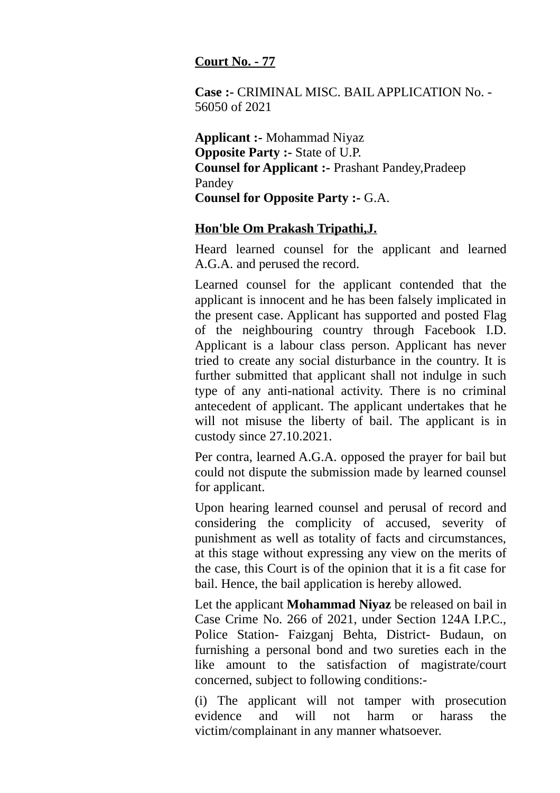## **Court No. - 77**

**Case :-** CRIMINAL MISC. BAIL APPLICATION No. - 56050 of 2021

**Applicant :-** Mohammad Niyaz **Opposite Party :- State of U.P. Counsel for Applicant :-** Prashant Pandey,Pradeep Pandey **Counsel for Opposite Party :-** G.A.

## **Hon'ble Om Prakash Tripathi,J.**

Heard learned counsel for the applicant and learned A.G.A. and perused the record.

Learned counsel for the applicant contended that the applicant is innocent and he has been falsely implicated in the present case. Applicant has supported and posted Flag of the neighbouring country through Facebook I.D. Applicant is a labour class person. Applicant has never tried to create any social disturbance in the country. It is further submitted that applicant shall not indulge in such type of any anti-national activity. There is no criminal antecedent of applicant. The applicant undertakes that he will not misuse the liberty of bail. The applicant is in custody since 27.10.2021.

Per contra, learned A.G.A. opposed the prayer for bail but could not dispute the submission made by learned counsel for applicant.

Upon hearing learned counsel and perusal of record and considering the complicity of accused, severity of punishment as well as totality of facts and circumstances, at this stage without expressing any view on the merits of the case, this Court is of the opinion that it is a fit case for bail. Hence, the bail application is hereby allowed.

Let the applicant **Mohammad Niyaz** be released on bail in Case Crime No. 266 of 2021, under Section 124A I.P.C., Police Station- Faizganj Behta, District- Budaun, on furnishing a personal bond and two sureties each in the like amount to the satisfaction of magistrate/court concerned, subject to following conditions:-

(i) The applicant will not tamper with prosecution evidence and will not harm or harass the victim/complainant in any manner whatsoever.